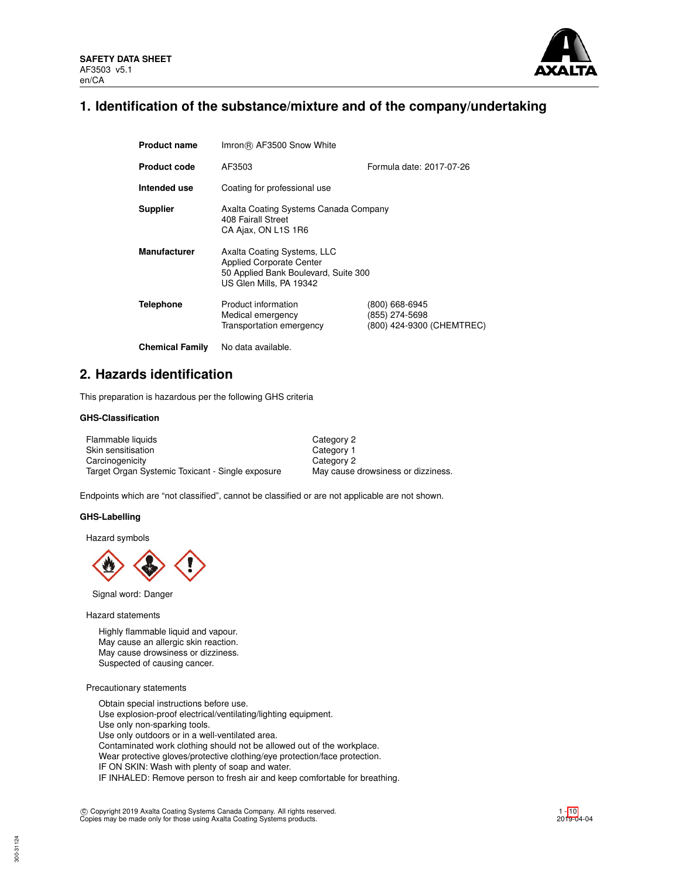

## **1. Identification of the substance/mixture and of the company/undertaking**

| <b>Product name</b>    | Imron (R) AF3500 Snow White                                                                                                       |                                                               |  |  |  |
|------------------------|-----------------------------------------------------------------------------------------------------------------------------------|---------------------------------------------------------------|--|--|--|
| <b>Product code</b>    | Formula date: 2017-07-26<br>AF3503                                                                                                |                                                               |  |  |  |
| Intended use           | Coating for professional use                                                                                                      |                                                               |  |  |  |
| <b>Supplier</b>        | Axalta Coating Systems Canada Company<br>408 Fairall Street<br>CA Ajax, ON L1S 1R6                                                |                                                               |  |  |  |
| <b>Manufacturer</b>    | Axalta Coating Systems, LLC<br><b>Applied Corporate Center</b><br>50 Applied Bank Boulevard, Suite 300<br>US Glen Mills, PA 19342 |                                                               |  |  |  |
| <b>Telephone</b>       | Product information<br>Medical emergency<br>Transportation emergency                                                              | (800) 668-6945<br>(855) 274-5698<br>(800) 424-9300 (CHEMTREC) |  |  |  |
| <b>Chemical Family</b> | No data available.                                                                                                                |                                                               |  |  |  |

## **2. Hazards identification**

This preparation is hazardous per the following GHS criteria

## **GHS-Classification**

| Flammable liquids                                | Category 2                         |
|--------------------------------------------------|------------------------------------|
| Skin sensitisation                               | Category 1                         |
| Carcinogenicity                                  | Category 2                         |
| Target Organ Systemic Toxicant - Single exposure | May cause drowsiness or dizziness. |

Endpoints which are "not classified", cannot be classified or are not applicable are not shown.

#### **GHS-Labelling**

Hazard symbols



Signal word: Danger

Hazard statements

Highly flammable liquid and vapour. May cause an allergic skin reaction. May cause drowsiness or dizziness. Suspected of causing cancer.

Precautionary statements

Obtain special instructions before use. Use explosion-proof electrical/ventilating/lighting equipment. Use only non-sparking tools. Use only outdoors or in a well-ventilated area. Contaminated work clothing should not be allowed out of the workplace. Wear protective gloves/protective clothing/eye protection/face protection. IF ON SKIN: Wash with plenty of soap and water. IF INHALED: Remove person to fresh air and keep comfortable for breathing.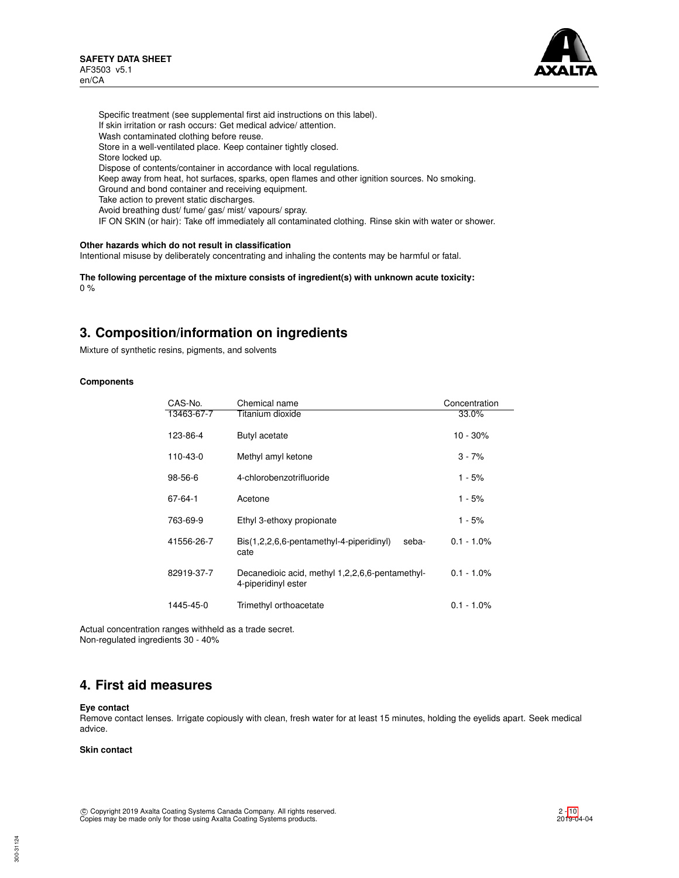

Specific treatment (see supplemental first aid instructions on this label). If skin irritation or rash occurs: Get medical advice/ attention. Wash contaminated clothing before reuse. Store in a well-ventilated place. Keep container tightly closed. Store locked up. Dispose of contents/container in accordance with local regulations. Keep away from heat, hot surfaces, sparks, open flames and other ignition sources. No smoking. Ground and bond container and receiving equipment. Take action to prevent static discharges. Avoid breathing dust/ fume/ gas/ mist/ vapours/ spray. IF ON SKIN (or hair): Take off immediately all contaminated clothing. Rinse skin with water or shower.

## **Other hazards which do not result in classification**

Intentional misuse by deliberately concentrating and inhaling the contents may be harmful or fatal.

**The following percentage of the mixture consists of ingredient(s) with unknown acute toxicity:** 0 %

## **3. Composition/information on ingredients**

Mixture of synthetic resins, pigments, and solvents

### **Components**

| CAS-No.       | Chemical name                                                             | Concentration |
|---------------|---------------------------------------------------------------------------|---------------|
| 13463-67-7    | Titanium dioxide                                                          | 33.0%         |
| 123-86-4      | Butyl acetate                                                             | $10 - 30%$    |
| 110-43-0      | Methyl amyl ketone                                                        | $3 - 7%$      |
| $98 - 56 - 6$ | 4-chlorobenzotrifluoride                                                  | $1 - 5%$      |
| 67-64-1       | Acetone                                                                   | 1 - 5%        |
| 763-69-9      | Ethyl 3-ethoxy propionate                                                 | $1 - 5%$      |
| 41556-26-7    | $\text{Bis}(1,2,2,6,6\text{-}pentamethyl-4-piperidinyl)$<br>seba-<br>cate | $0.1 - 1.0\%$ |
| 82919-37-7    | Decanedioic acid, methyl 1,2,2,6,6-pentamethyl-<br>4-piperidinyl ester    | $0.1 - 1.0\%$ |
| 1445-45-0     | Trimethyl orthoacetate                                                    | $0.1 - 1.0\%$ |

Actual concentration ranges withheld as a trade secret. Non-regulated ingredients 30 - 40%

## **4. First aid measures**

#### **Eye contact**

Remove contact lenses. Irrigate copiously with clean, fresh water for at least 15 minutes, holding the eyelids apart. Seek medical advice.

### **Skin contact**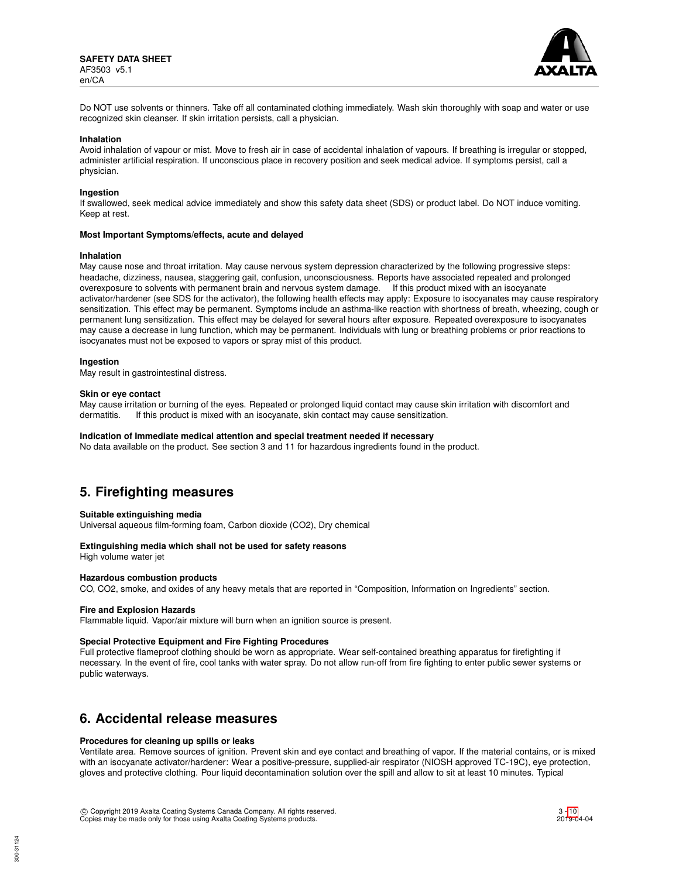

Do NOT use solvents or thinners. Take off all contaminated clothing immediately. Wash skin thoroughly with soap and water or use recognized skin cleanser. If skin irritation persists, call a physician.

#### **Inhalation**

Avoid inhalation of vapour or mist. Move to fresh air in case of accidental inhalation of vapours. If breathing is irregular or stopped, administer artificial respiration. If unconscious place in recovery position and seek medical advice. If symptoms persist, call a physician.

#### **Ingestion**

If swallowed, seek medical advice immediately and show this safety data sheet (SDS) or product label. Do NOT induce vomiting. Keep at rest.

#### **Most Important Symptoms/effects, acute and delayed**

#### **Inhalation**

May cause nose and throat irritation. May cause nervous system depression characterized by the following progressive steps: headache, dizziness, nausea, staggering gait, confusion, unconsciousness. Reports have associated repeated and prolonged overexposure to solvents with permanent brain and nervous system damage. If this product mixed with an isocyanate activator/hardener (see SDS for the activator), the following health effects may apply: Exposure to isocyanates may cause respiratory sensitization. This effect may be permanent. Symptoms include an asthma-like reaction with shortness of breath, wheezing, cough or permanent lung sensitization. This effect may be delayed for several hours after exposure. Repeated overexposure to isocyanates may cause a decrease in lung function, which may be permanent. Individuals with lung or breathing problems or prior reactions to isocyanates must not be exposed to vapors or spray mist of this product.

#### **Ingestion**

May result in gastrointestinal distress.

#### **Skin or eye contact**

May cause irritation or burning of the eyes. Repeated or prolonged liquid contact may cause skin irritation with discomfort and dermatitis. If this product is mixed with an isocyanate, skin contact may cause sensitization.

#### **Indication of Immediate medical attention and special treatment needed if necessary**

No data available on the product. See section 3 and 11 for hazardous ingredients found in the product.

## **5. Firefighting measures**

#### **Suitable extinguishing media**

Universal aqueous film-forming foam, Carbon dioxide (CO2), Dry chemical

### **Extinguishing media which shall not be used for safety reasons**

High volume water jet

## **Hazardous combustion products**

CO, CO2, smoke, and oxides of any heavy metals that are reported in "Composition, Information on Ingredients" section.

#### **Fire and Explosion Hazards**

Flammable liquid. Vapor/air mixture will burn when an ignition source is present.

#### **Special Protective Equipment and Fire Fighting Procedures**

Full protective flameproof clothing should be worn as appropriate. Wear self-contained breathing apparatus for firefighting if necessary. In the event of fire, cool tanks with water spray. Do not allow run-off from fire fighting to enter public sewer systems or public waterways.

## **6. Accidental release measures**

#### **Procedures for cleaning up spills or leaks**

Ventilate area. Remove sources of ignition. Prevent skin and eye contact and breathing of vapor. If the material contains, or is mixed with an isocyanate activator/hardener: Wear a positive-pressure, supplied-air respirator (NIOSH approved TC-19C), eye protection, gloves and protective clothing. Pour liquid decontamination solution over the spill and allow to sit at least 10 minutes. Typical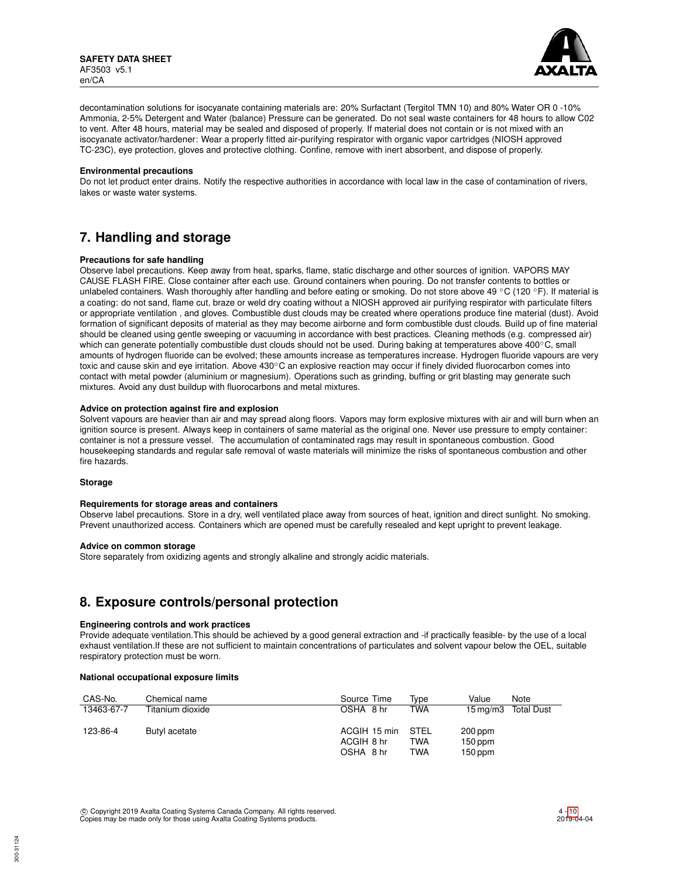

decontamination solutions for isocyanate containing materials are: 20% Surfactant (Tergitol TMN 10) and 80% Water OR 0 -10% Ammonia, 2-5% Detergent and Water (balance) Pressure can be generated. Do not seal waste containers for 48 hours to allow C02 to vent. After 48 hours, material may be sealed and disposed of properly. If material does not contain or is not mixed with an isocyanate activator/hardener: Wear a properly fitted air-purifying respirator with organic vapor cartridges (NIOSH approved TC-23C), eye protection, gloves and protective clothing. Confine, remove with inert absorbent, and dispose of properly.

#### **Environmental precautions**

Do not let product enter drains. Notify the respective authorities in accordance with local law in the case of contamination of rivers, lakes or waste water systems.

## **7. Handling and storage**

### **Precautions for safe handling**

Observe label precautions. Keep away from heat, sparks, flame, static discharge and other sources of ignition. VAPORS MAY CAUSE FLASH FIRE. Close container after each use. Ground containers when pouring. Do not transfer contents to bottles or unlabeled containers. Wash thoroughly after handling and before eating or smoking. Do not store above 49 °C (120 °F). If material is a coating: do not sand, flame cut, braze or weld dry coating without a NIOSH approved air purifying respirator with particulate filters or appropriate ventilation , and gloves. Combustible dust clouds may be created where operations produce fine material (dust). Avoid formation of significant deposits of material as they may become airborne and form combustible dust clouds. Build up of fine material should be cleaned using gentle sweeping or vacuuming in accordance with best practices. Cleaning methods (e.g. compressed air) which can generate potentially combustible dust clouds should not be used. During baking at temperatures above 400℃, small amounts of hydrogen fluoride can be evolved; these amounts increase as temperatures increase. Hydrogen fluoride vapours are very toxic and cause skin and eye irritation. Above 430℃ an explosive reaction may occur if finely divided fluorocarbon comes into contact with metal powder (aluminium or magnesium). Operations such as grinding, buffing or grit blasting may generate such mixtures. Avoid any dust buildup with fluorocarbons and metal mixtures.

## **Advice on protection against fire and explosion**

Solvent vapours are heavier than air and may spread along floors. Vapors may form explosive mixtures with air and will burn when an ignition source is present. Always keep in containers of same material as the original one. Never use pressure to empty container: container is not a pressure vessel. The accumulation of contaminated rags may result in spontaneous combustion. Good housekeeping standards and regular safe removal of waste materials will minimize the risks of spontaneous combustion and other fire hazards.

#### **Storage**

#### **Requirements for storage areas and containers**

Observe label precautions. Store in a dry, well ventilated place away from sources of heat, ignition and direct sunlight. No smoking. Prevent unauthorized access. Containers which are opened must be carefully resealed and kept upright to prevent leakage.

#### **Advice on common storage**

Store separately from oxidizing agents and strongly alkaline and strongly acidic materials.

## **8. Exposure controls/personal protection**

#### **Engineering controls and work practices**

Provide adequate ventilation.This should be achieved by a good general extraction and -if practically feasible- by the use of a local exhaust ventilation.If these are not sufficient to maintain concentrations of particulates and solvent vapour below the OEL, suitable respiratory protection must be worn.

#### **National occupational exposure limits**

| CAS-No.    | Chemical name    | Source Time  | Tvpe       | Value     | Note                |
|------------|------------------|--------------|------------|-----------|---------------------|
| 13463-67-7 | Titanium dioxide | OSHA 8 hr    | <b>TWA</b> |           | 15 mg/m3 Total Dust |
| 123-86-4   | Butyl acetate    | ACGIH 15 min | STEL       | 200 ppm   |                     |
|            |                  | ACGIH 8 hr   | TWA        | $150$ ppm |                     |
|            |                  | OSHA 8 hr    | TWA        | $150$ ppm |                     |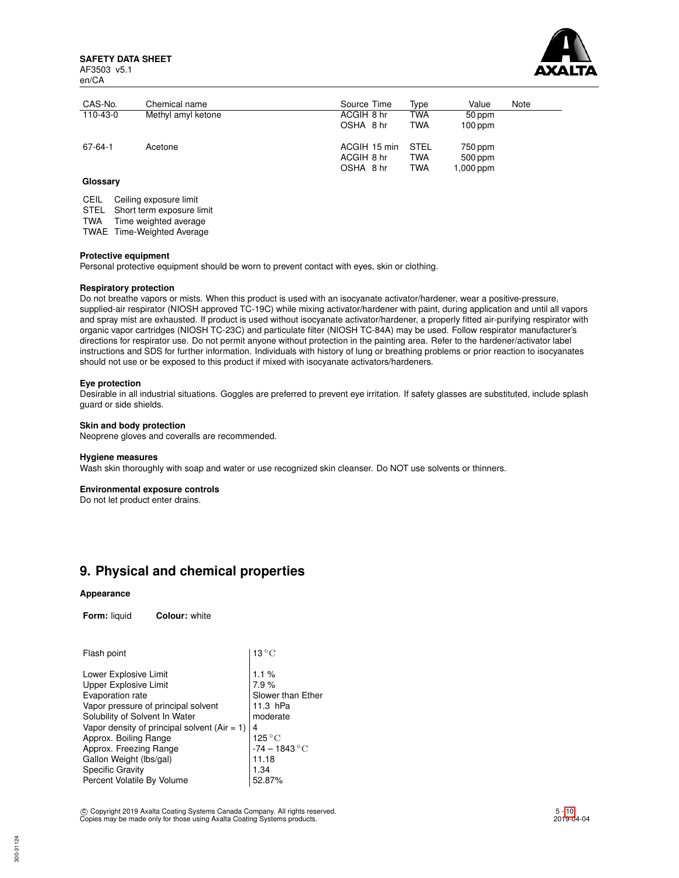**SAFETY DATA SHEET** AF3503 v5.1 en/CA



| CAS-No.  | Chemical name      | Source Time                             | Type                             | Value                           | Note |
|----------|--------------------|-----------------------------------------|----------------------------------|---------------------------------|------|
| 110-43-0 | Methyl amyl ketone | ACGIH 8 hr                              | TWA                              | 50 ppm                          |      |
|          |                    | OSHA 8 hr                               | <b>TWA</b>                       | $100$ ppm                       |      |
| 67-64-1  | Acetone            | ACGIH 15 min<br>ACGIH 8 hr<br>OSHA 8 hr | <b>STEL</b><br>TWA<br><b>TWA</b> | 750 ppm<br>500 ppm<br>1,000 ppm |      |

## **Glossary**

CEIL Ceiling exposure limit

STEL Short term exposure limit

TWA Time weighted average

TWAE Time-Weighted Average

#### **Protective equipment**

Personal protective equipment should be worn to prevent contact with eyes, skin or clothing.

### **Respiratory protection**

Do not breathe vapors or mists. When this product is used with an isocyanate activator/hardener, wear a positive-pressure, supplied-air respirator (NIOSH approved TC-19C) while mixing activator/hardener with paint, during application and until all vapors and spray mist are exhausted. If product is used without isocyanate activator/hardener, a properly fitted air-purifying respirator with organic vapor cartridges (NIOSH TC-23C) and particulate filter (NIOSH TC-84A) may be used. Follow respirator manufacturer's directions for respirator use. Do not permit anyone without protection in the painting area. Refer to the hardener/activator label instructions and SDS for further information. Individuals with history of lung or breathing problems or prior reaction to isocyanates should not use or be exposed to this product if mixed with isocyanate activators/hardeners.

#### **Eye protection**

Desirable in all industrial situations. Goggles are preferred to prevent eye irritation. If safety glasses are substituted, include splash guard or side shields.

## **Skin and body protection**

Neoprene gloves and coveralls are recommended.

#### **Hygiene measures**

Wash skin thoroughly with soap and water or use recognized skin cleanser. Do NOT use solvents or thinners.

#### **Environmental exposure controls**

Do not let product enter drains.

## **9. Physical and chemical properties**

#### **Appearance**

**Form:** liquid **Colour:** white

| Flash point                                                                                                                                                                                                                                                                                                                            | 13 $^{\circ}$ C                                                                                                      |
|----------------------------------------------------------------------------------------------------------------------------------------------------------------------------------------------------------------------------------------------------------------------------------------------------------------------------------------|----------------------------------------------------------------------------------------------------------------------|
| Lower Explosive Limit<br>Upper Explosive Limit<br>Evaporation rate<br>Vapor pressure of principal solvent<br>Solubility of Solvent In Water<br>Vapor density of principal solvent ( $Air = 1$ )<br>Approx. Boiling Range<br>Approx. Freezing Range<br>Gallon Weight (lbs/gal)<br><b>Specific Gravity</b><br>Percent Volatile By Volume | 1.1%<br>7.9%<br>Slower than Ether<br>11.3 hPa<br>moderate<br>4<br>125 °C<br>-74 – 1843 °C<br>11.18<br>1.34<br>52.87% |
|                                                                                                                                                                                                                                                                                                                                        |                                                                                                                      |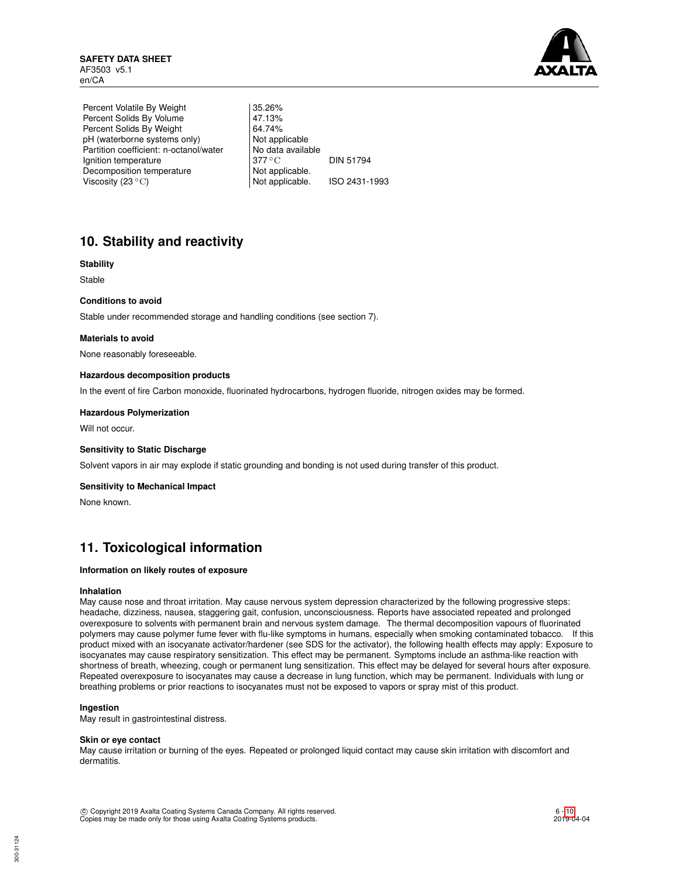

Percent Volatile By Weight | 35.26% Percent Solids By Volume 47.13%<br>Percent Solids By Weight 64.74% Percent Solids By Weight 64.74%<br>
pH (waterborne systems only) Not applicable pH (waterborne systems only) Partition coefficient: n-octanol/water | No data available Ignition temperature 377 °C DIN 51794 Decomposition temperature Not applicable.<br>Viscosity (23 °C) Not applicable. Viscosity  $(23 °C)$  Not applicable. ISO 2431-1993

# **10. Stability and reactivity**

## **Stability**

Stable

## **Conditions to avoid**

Stable under recommended storage and handling conditions (see section 7).

### **Materials to avoid**

None reasonably foreseeable.

### **Hazardous decomposition products**

In the event of fire Carbon monoxide, fluorinated hydrocarbons, hydrogen fluoride, nitrogen oxides may be formed.

### **Hazardous Polymerization**

Will not occur.

#### **Sensitivity to Static Discharge**

Solvent vapors in air may explode if static grounding and bonding is not used during transfer of this product.

#### **Sensitivity to Mechanical Impact**

None known.

## **11. Toxicological information**

### **Information on likely routes of exposure**

#### **Inhalation**

May cause nose and throat irritation. May cause nervous system depression characterized by the following progressive steps: headache, dizziness, nausea, staggering gait, confusion, unconsciousness. Reports have associated repeated and prolonged overexposure to solvents with permanent brain and nervous system damage. The thermal decomposition vapours of fluorinated polymers may cause polymer fume fever with flu-like symptoms in humans, especially when smoking contaminated tobacco. If this product mixed with an isocyanate activator/hardener (see SDS for the activator), the following health effects may apply: Exposure to isocyanates may cause respiratory sensitization. This effect may be permanent. Symptoms include an asthma-like reaction with shortness of breath, wheezing, cough or permanent lung sensitization. This effect may be delayed for several hours after exposure. Repeated overexposure to isocyanates may cause a decrease in lung function, which may be permanent. Individuals with lung or breathing problems or prior reactions to isocyanates must not be exposed to vapors or spray mist of this product.

## **Ingestion**

May result in gastrointestinal distress.

#### **Skin or eye contact**

May cause irritation or burning of the eyes. Repeated or prolonged liquid contact may cause skin irritation with discomfort and dermatitis.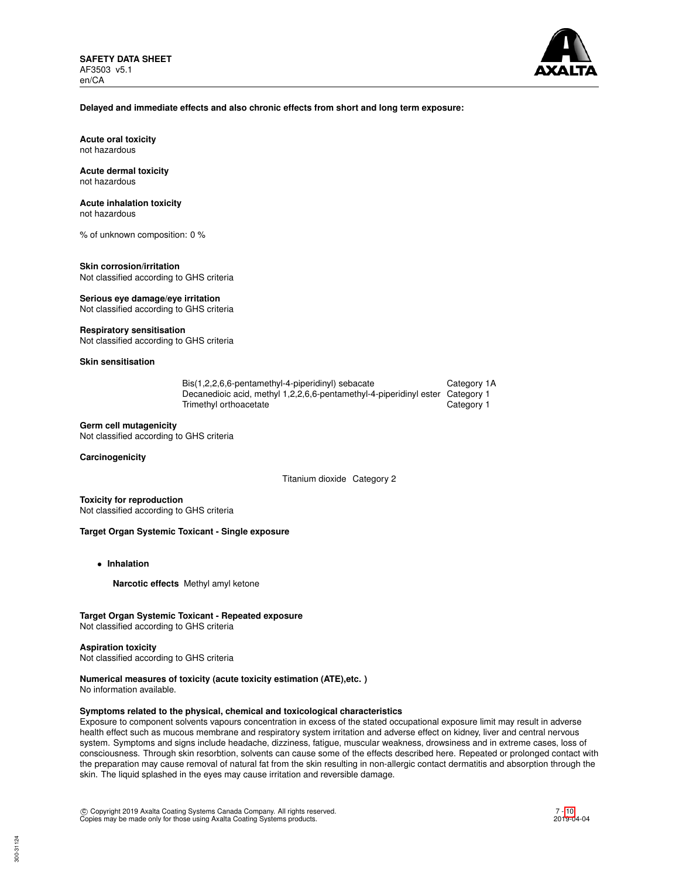

## **Delayed and immediate effects and also chronic effects from short and long term exposure:**

**Acute oral toxicity** not hazardous

#### **Acute dermal toxicity** not hazardous

## **Acute inhalation toxicity**

not hazardous

% of unknown composition: 0 %

#### **Skin corrosion/irritation** Not classified according to GHS criteria

**Serious eye damage/eye irritation**

Not classified according to GHS criteria

## **Respiratory sensitisation**

Not classified according to GHS criteria

## **Skin sensitisation**

| Bis(1,2,2,6,6-pentamethyl-4-piperidinyl) sebacate                             | Category 1A |
|-------------------------------------------------------------------------------|-------------|
| Decanedioic acid, methyl 1,2,2,6,6-pentamethyl-4-piperidinyl ester Category 1 |             |
| Trimethyl orthoacetate                                                        | Category 1  |

### **Germ cell mutagenicity**

Not classified according to GHS criteria

### **Carcinogenicity**

Titanium dioxide Category 2

**Toxicity for reproduction** Not classified according to GHS criteria

## **Target Organ Systemic Toxicant - Single exposure**

- **Inhalation**
	- **Narcotic effects** Methyl amyl ketone

## **Target Organ Systemic Toxicant - Repeated exposure**

Not classified according to GHS criteria

#### **Aspiration toxicity**

Not classified according to GHS criteria

## **Numerical measures of toxicity (acute toxicity estimation (ATE),etc. )**

No information available.

## **Symptoms related to the physical, chemical and toxicological characteristics**

Exposure to component solvents vapours concentration in excess of the stated occupational exposure limit may result in adverse health effect such as mucous membrane and respiratory system irritation and adverse effect on kidney, liver and central nervous system. Symptoms and signs include headache, dizziness, fatigue, muscular weakness, drowsiness and in extreme cases, loss of consciousness. Through skin resorbtion, solvents can cause some of the effects described here. Repeated or prolonged contact with the preparation may cause removal of natural fat from the skin resulting in non-allergic contact dermatitis and absorption through the skin. The liquid splashed in the eyes may cause irritation and reversible damage.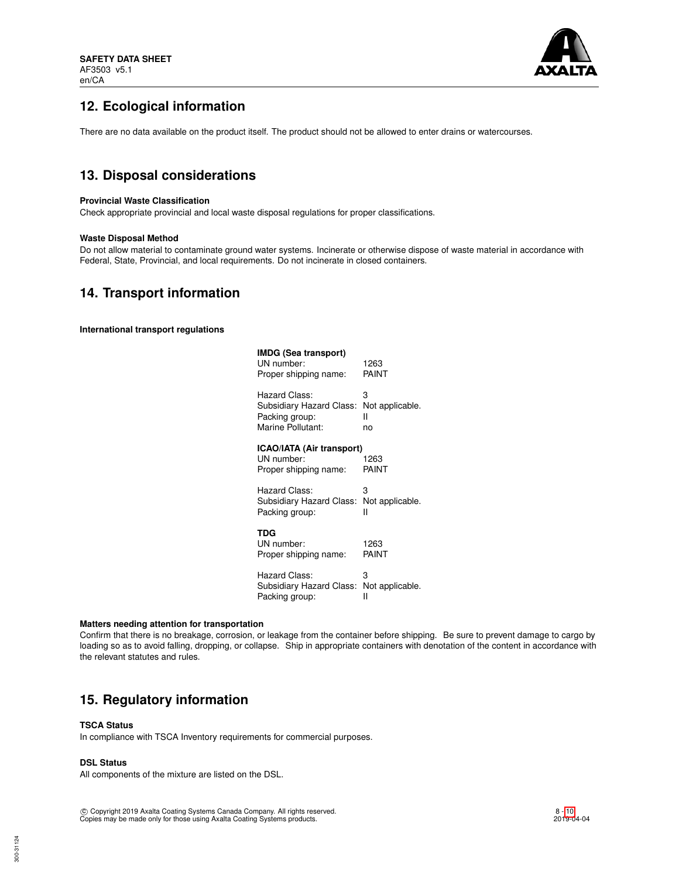

# **12. Ecological information**

There are no data available on the product itself. The product should not be allowed to enter drains or watercourses.

## **13. Disposal considerations**

### **Provincial Waste Classification**

Check appropriate provincial and local waste disposal regulations for proper classifications.

### **Waste Disposal Method**

Do not allow material to contaminate ground water systems. Incinerate or otherwise dispose of waste material in accordance with Federal, State, Provincial, and local requirements. Do not incinerate in closed containers.

## **14. Transport information**

**International transport regulations**

| IMDG (Sea transport)<br>UN number:<br>Proper shipping name:      | 1263<br>PAINT   |
|------------------------------------------------------------------|-----------------|
| Hazard Class:                                                    | 3               |
| Subsidiary Hazard Class:                                         | Not applicable. |
| Packing group:                                                   | н               |
| Marine Pollutant:                                                | no              |
| ICAO/IATA (Air transport)<br>UN number:<br>Proper shipping name: | 1263<br>PAINT   |
| Hazard Class:                                                    | 3               |
| Subsidiary Hazard Class:                                         | Not applicable. |
| Packing group:                                                   | н               |
| TDG<br>UN number:<br>Proper shipping name:                       | 1263<br>PAINT   |
| Hazard Class:                                                    | 3               |
| Subsidiary Hazard Class:                                         | Not applicable. |
| Packing group:                                                   | н               |

#### **Matters needing attention for transportation**

Confirm that there is no breakage, corrosion, or leakage from the container before shipping. Be sure to prevent damage to cargo by loading so as to avoid falling, dropping, or collapse. Ship in appropriate containers with denotation of the content in accordance with the relevant statutes and rules.

## **15. Regulatory information**

### **TSCA Status**

In compliance with TSCA Inventory requirements for commercial purposes.

## **DSL Status**

All components of the mixture are listed on the DSL.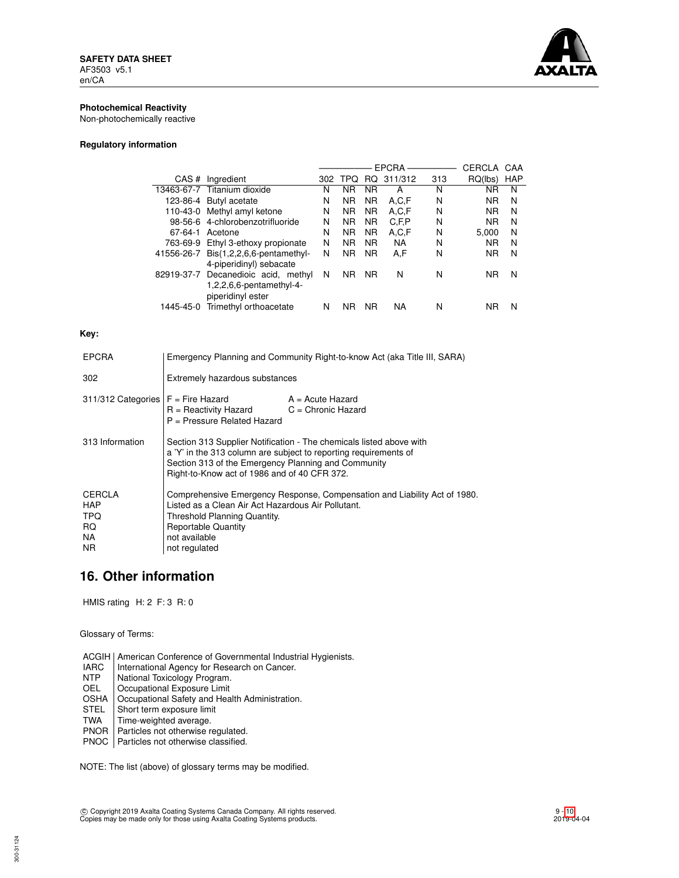

## **Photochemical Reactivity**

Non-photochemically reactive

## **Regulatory information**

|            |                                     |     |                |           | <b>EPCRA</b> |     | CERCLA    | CAA        |
|------------|-------------------------------------|-----|----------------|-----------|--------------|-----|-----------|------------|
| CAS#       | Ingredient                          | 302 | TPO            | RQ.       | 311/312      | 313 | RQ(lbs)   | <b>HAP</b> |
|            | 13463-67-7 Titanium dioxide         | N   | ΝR             | <b>NR</b> | А            | N   | ΝR        | N          |
|            | 123-86-4 Butyl acetate              | N   | <b>NR</b>      | <b>NR</b> | A.C.F        | N   | <b>NR</b> | N          |
| 110-43-0   | Methyl amyl ketone                  | N   | <b>NR</b>      | <b>NR</b> | A,C,F        | N   | <b>NR</b> | N          |
|            | 98-56-6 4-chlorobenzotrifluoride    | N   | <b>NR</b>      | <b>NR</b> | C, F, P      | N   | <b>NR</b> | N          |
| 67-64-1    | Acetone                             | N   | <b>NR</b>      | <b>NR</b> | A,C,F        | N   | 5.000     | N          |
| 763-69-9   | Ethyl 3-ethoxy propionate           | N   | N <sub>R</sub> | <b>NR</b> | <b>NA</b>    | N   | <b>NR</b> | N          |
| 41556-26-7 | $Dis(1,2,2,6,6\text{-pentamethyl-}$ | N   | <b>NR</b>      | <b>NR</b> | A.F          | N   | <b>NR</b> | N          |
|            | 4-piperidinyl) sebacate             |     |                |           |              |     |           |            |
| 82919-37-7 | Decanedioic acid, methyl            | N   | <b>NR</b>      | <b>NR</b> | N            | N   | <b>NR</b> | N          |
|            | $1,2,2,6,6$ -pentamethyl-4-         |     |                |           |              |     |           |            |
|            | piperidinyl ester                   |     |                |           |              |     |           |            |
| 1445-45-0  | Trimethyl orthoacetate              | N   | ΝR             | <b>NR</b> | NA           | N   | ΝR        | N          |
|            |                                     |     |                |           |              |     |           |            |

## **Key:**

| <b>EPCRA</b>                               | Emergency Planning and Community Right-to-know Act (aka Title III, SARA)                                                                                                                                                                       |                    |  |
|--------------------------------------------|------------------------------------------------------------------------------------------------------------------------------------------------------------------------------------------------------------------------------------------------|--------------------|--|
| 302                                        | Extremely hazardous substances                                                                                                                                                                                                                 |                    |  |
| $311/312$ Categories $F =$ Fire Hazard     | $R =$ Reactivity Hazard $C =$ Chronic Hazard<br>P = Pressure Related Hazard                                                                                                                                                                    | $A = Acute$ Hazard |  |
| 313 Information                            | Section 313 Supplier Notification - The chemicals listed above with<br>a 'Y' in the 313 column are subject to reporting requirements of<br>Section 313 of the Emergency Planning and Community<br>Right-to-Know act of 1986 and of 40 CFR 372. |                    |  |
| CERCLA<br>HAP<br>TPQ.<br>RQ.<br>NA.<br>NR. | Comprehensive Emergency Response, Compensation and Liability Act of 1980.<br>Listed as a Clean Air Act Hazardous Air Pollutant.<br>Threshold Planning Quantity.<br><b>Reportable Quantity</b><br>not available<br>not regulated                |                    |  |

## **16. Other information**

HMIS rating H: 2 F: 3 R: 0

Glossary of Terms:

ACGIH | American Conference of Governmental Industrial Hygienists.<br>
IARC | International Agency for Research on Cancer.

- IARC | International Agency for Research on Cancer.<br>
NTP | National Toxicology Program.
- NTP National Toxicology Program.<br>OEL Cocupational Exposure Limit
- Occupational Exposure Limit

OSHA | Occupational Safety and Health Administration.<br>STEL | Short term exposure limit

- STEL Short term exposure limit<br>TWA Time-weighted average.
- Time-weighted average.
- PNOR Particles not otherwise regulated. PNOC Particles not otherwise classified.

NOTE: The list (above) of glossary terms may be modified.